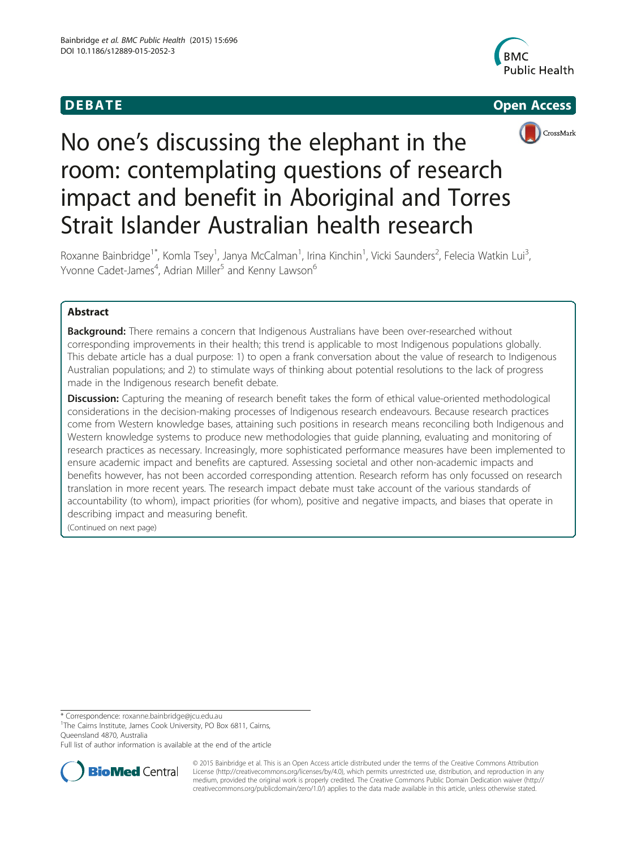## **DEBATE CONSIDERENT CONSIDERED ACCESS**







# No one's discussing the elephant in the room: contemplating questions of research impact and benefit in Aboriginal and Torres Strait Islander Australian health research

Roxanne Bainbridge<sup>1\*</sup>, Komla Tsey<sup>1</sup>, Janya McCalman<sup>1</sup>, Irina Kinchin<sup>1</sup>, Vicki Saunders<sup>2</sup>, Felecia Watkin Lui<sup>3</sup> , Yvonne Cadet-James<sup>4</sup>, Adrian Miller<sup>5</sup> and Kenny Lawson<sup>6</sup>

## Abstract

**Background:** There remains a concern that Indigenous Australians have been over-researched without corresponding improvements in their health; this trend is applicable to most Indigenous populations globally. This debate article has a dual purpose: 1) to open a frank conversation about the value of research to Indigenous Australian populations; and 2) to stimulate ways of thinking about potential resolutions to the lack of progress made in the Indigenous research benefit debate.

**Discussion:** Capturing the meaning of research benefit takes the form of ethical value-oriented methodological considerations in the decision-making processes of Indigenous research endeavours. Because research practices come from Western knowledge bases, attaining such positions in research means reconciling both Indigenous and Western knowledge systems to produce new methodologies that guide planning, evaluating and monitoring of research practices as necessary. Increasingly, more sophisticated performance measures have been implemented to ensure academic impact and benefits are captured. Assessing societal and other non-academic impacts and benefits however, has not been accorded corresponding attention. Research reform has only focussed on research translation in more recent years. The research impact debate must take account of the various standards of accountability (to whom), impact priorities (for whom), positive and negative impacts, and biases that operate in describing impact and measuring benefit.

(Continued on next page)

\* Correspondence: [roxanne.bainbridge@jcu.edu.au](mailto:roxanne.bainbridge@jcu.edu.au) <sup>1</sup>

<sup>1</sup>The Cairns Institute, James Cook University, PO Box 6811, Cairns, Queensland 4870, Australia

Full list of author information is available at the end of the article



© 2015 Bainbridge et al. This is an Open Access article distributed under the terms of the Creative Commons Attribution License (<http://creativecommons.org/licenses/by/4.0>), which permits unrestricted use, distribution, and reproduction in any medium, provided the original work is properly credited. The Creative Commons Public Domain Dedication waiver [\(http://](http://creativecommons.org/publicdomain/zero/1.0/) [creativecommons.org/publicdomain/zero/1.0/\)](http://creativecommons.org/publicdomain/zero/1.0/) applies to the data made available in this article, unless otherwise stated.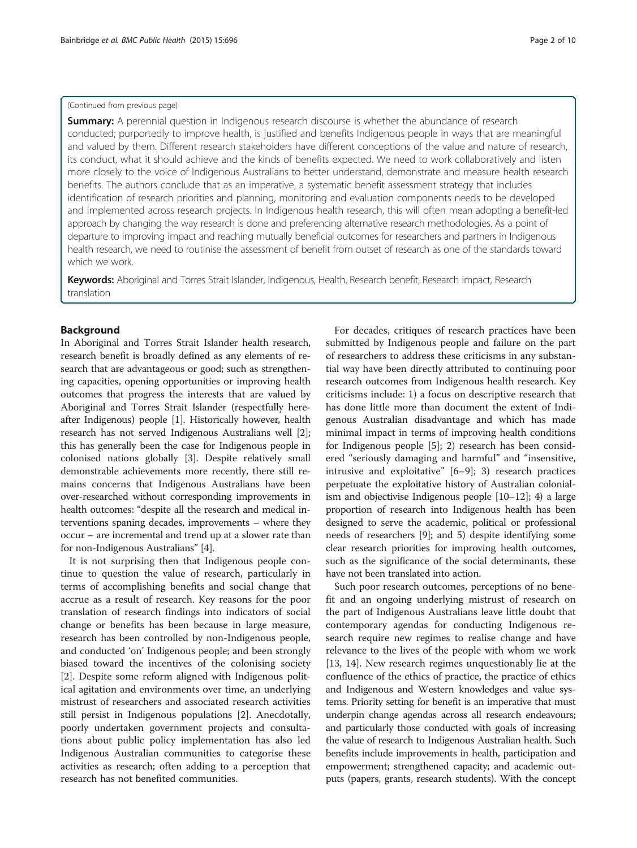## (Continued from previous page)

**Summary:** A perennial question in Indigenous research discourse is whether the abundance of research conducted; purportedly to improve health, is justified and benefits Indigenous people in ways that are meaningful and valued by them. Different research stakeholders have different conceptions of the value and nature of research, its conduct, what it should achieve and the kinds of benefits expected. We need to work collaboratively and listen more closely to the voice of Indigenous Australians to better understand, demonstrate and measure health research benefits. The authors conclude that as an imperative, a systematic benefit assessment strategy that includes identification of research priorities and planning, monitoring and evaluation components needs to be developed and implemented across research projects. In Indigenous health research, this will often mean adopting a benefit-led approach by changing the way research is done and preferencing alternative research methodologies. As a point of departure to improving impact and reaching mutually beneficial outcomes for researchers and partners in Indigenous health research, we need to routinise the assessment of benefit from outset of research as one of the standards toward which we work.

Keywords: Aboriginal and Torres Strait Islander, Indigenous, Health, Research benefit, Research impact, Research translation

## Background

In Aboriginal and Torres Strait Islander health research, research benefit is broadly defined as any elements of research that are advantageous or good; such as strengthening capacities, opening opportunities or improving health outcomes that progress the interests that are valued by Aboriginal and Torres Strait Islander (respectfully hereafter Indigenous) people [\[1](#page-8-0)]. Historically however, health research has not served Indigenous Australians well [[2](#page-8-0)]; this has generally been the case for Indigenous people in colonised nations globally [[3](#page-8-0)]. Despite relatively small demonstrable achievements more recently, there still remains concerns that Indigenous Australians have been over-researched without corresponding improvements in health outcomes: "despite all the research and medical interventions spaning decades, improvements – where they occur – are incremental and trend up at a slower rate than for non-Indigenous Australians" [[4\]](#page-8-0).

It is not surprising then that Indigenous people continue to question the value of research, particularly in terms of accomplishing benefits and social change that accrue as a result of research. Key reasons for the poor translation of research findings into indicators of social change or benefits has been because in large measure, research has been controlled by non-Indigenous people, and conducted 'on' Indigenous people; and been strongly biased toward the incentives of the colonising society [[2\]](#page-8-0). Despite some reform aligned with Indigenous political agitation and environments over time, an underlying mistrust of researchers and associated research activities still persist in Indigenous populations [[2\]](#page-8-0). Anecdotally, poorly undertaken government projects and consultations about public policy implementation has also led Indigenous Australian communities to categorise these activities as research; often adding to a perception that research has not benefited communities.

For decades, critiques of research practices have been submitted by Indigenous people and failure on the part of researchers to address these criticisms in any substantial way have been directly attributed to continuing poor research outcomes from Indigenous health research. Key criticisms include: 1) a focus on descriptive research that has done little more than document the extent of Indigenous Australian disadvantage and which has made minimal impact in terms of improving health conditions for Indigenous people [\[5](#page-8-0)]; 2) research has been considered "seriously damaging and harmful" and "insensitive, intrusive and exploitative" [\[6](#page-8-0)–[9\]](#page-8-0); 3) research practices perpetuate the exploitative history of Australian colonialism and objectivise Indigenous people [\[10](#page-8-0)–[12](#page-9-0)]; 4) a large proportion of research into Indigenous health has been designed to serve the academic, political or professional needs of researchers [\[9\]](#page-8-0); and 5) despite identifying some clear research priorities for improving health outcomes, such as the significance of the social determinants, these have not been translated into action.

Such poor research outcomes, perceptions of no benefit and an ongoing underlying mistrust of research on the part of Indigenous Australians leave little doubt that contemporary agendas for conducting Indigenous research require new regimes to realise change and have relevance to the lives of the people with whom we work [[13, 14](#page-9-0)]. New research regimes unquestionably lie at the confluence of the ethics of practice, the practice of ethics and Indigenous and Western knowledges and value systems. Priority setting for benefit is an imperative that must underpin change agendas across all research endeavours; and particularly those conducted with goals of increasing the value of research to Indigenous Australian health. Such benefits include improvements in health, participation and empowerment; strengthened capacity; and academic outputs (papers, grants, research students). With the concept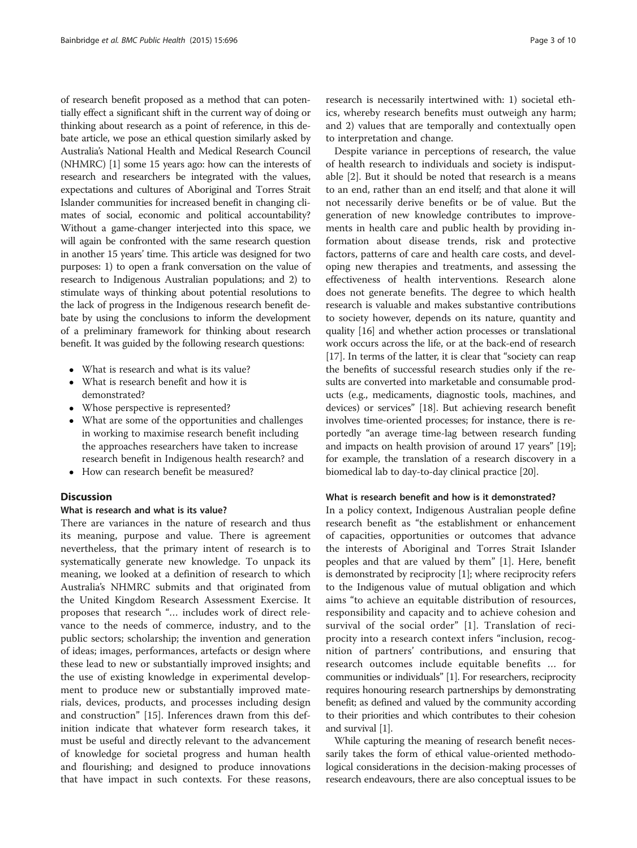of research benefit proposed as a method that can potentially effect a significant shift in the current way of doing or thinking about research as a point of reference, in this debate article, we pose an ethical question similarly asked by Australia's National Health and Medical Research Council (NHMRC) [\[1\]](#page-8-0) some 15 years ago: how can the interests of research and researchers be integrated with the values, expectations and cultures of Aboriginal and Torres Strait Islander communities for increased benefit in changing climates of social, economic and political accountability? Without a game-changer interjected into this space, we will again be confronted with the same research question in another 15 years' time. This article was designed for two purposes: 1) to open a frank conversation on the value of research to Indigenous Australian populations; and 2) to stimulate ways of thinking about potential resolutions to the lack of progress in the Indigenous research benefit debate by using the conclusions to inform the development of a preliminary framework for thinking about research benefit. It was guided by the following research questions:

- What is research and what is its value?
- What is research benefit and how it is demonstrated?
- Whose perspective is represented?
- What are some of the opportunities and challenges in working to maximise research benefit including the approaches researchers have taken to increase research benefit in Indigenous health research? and
- How can research benefit be measured?

## **Discussion**

## What is research and what is its value?

There are variances in the nature of research and thus its meaning, purpose and value. There is agreement nevertheless, that the primary intent of research is to systematically generate new knowledge. To unpack its meaning, we looked at a definition of research to which Australia's NHMRC submits and that originated from the United Kingdom Research Assessment Exercise. It proposes that research "… includes work of direct relevance to the needs of commerce, industry, and to the public sectors; scholarship; the invention and generation of ideas; images, performances, artefacts or design where these lead to new or substantially improved insights; and the use of existing knowledge in experimental development to produce new or substantially improved materials, devices, products, and processes including design and construction" [[15\]](#page-9-0). Inferences drawn from this definition indicate that whatever form research takes, it must be useful and directly relevant to the advancement of knowledge for societal progress and human health and flourishing; and designed to produce innovations that have impact in such contexts. For these reasons,

research is necessarily intertwined with: 1) societal ethics, whereby research benefits must outweigh any harm; and 2) values that are temporally and contextually open to interpretation and change.

Despite variance in perceptions of research, the value of health research to individuals and society is indisputable [[2\]](#page-8-0). But it should be noted that research is a means to an end, rather than an end itself; and that alone it will not necessarily derive benefits or be of value. But the generation of new knowledge contributes to improvements in health care and public health by providing information about disease trends, risk and protective factors, patterns of care and health care costs, and developing new therapies and treatments, and assessing the effectiveness of health interventions. Research alone does not generate benefits. The degree to which health research is valuable and makes substantive contributions to society however, depends on its nature, quantity and quality [\[16\]](#page-9-0) and whether action processes or translational work occurs across the life, or at the back-end of research [[17](#page-9-0)]. In terms of the latter, it is clear that "society can reap the benefits of successful research studies only if the results are converted into marketable and consumable products (e.g., medicaments, diagnostic tools, machines, and devices) or services" [\[18\]](#page-9-0). But achieving research benefit involves time-oriented processes; for instance, there is reportedly "an average time-lag between research funding and impacts on health provision of around 17 years" [[19](#page-9-0)]; for example, the translation of a research discovery in a biomedical lab to day-to-day clinical practice [\[20\]](#page-9-0).

### What is research benefit and how is it demonstrated?

In a policy context, Indigenous Australian people define research benefit as "the establishment or enhancement of capacities, opportunities or outcomes that advance the interests of Aboriginal and Torres Strait Islander peoples and that are valued by them" [\[1](#page-8-0)]. Here, benefit is demonstrated by reciprocity [[1](#page-8-0)]; where reciprocity refers to the Indigenous value of mutual obligation and which aims "to achieve an equitable distribution of resources, responsibility and capacity and to achieve cohesion and survival of the social order" [\[1](#page-8-0)]. Translation of reciprocity into a research context infers "inclusion, recognition of partners' contributions, and ensuring that research outcomes include equitable benefits … for communities or individuals" [\[1\]](#page-8-0). For researchers, reciprocity requires honouring research partnerships by demonstrating benefit; as defined and valued by the community according to their priorities and which contributes to their cohesion and survival [[1](#page-8-0)].

While capturing the meaning of research benefit necessarily takes the form of ethical value-oriented methodological considerations in the decision-making processes of research endeavours, there are also conceptual issues to be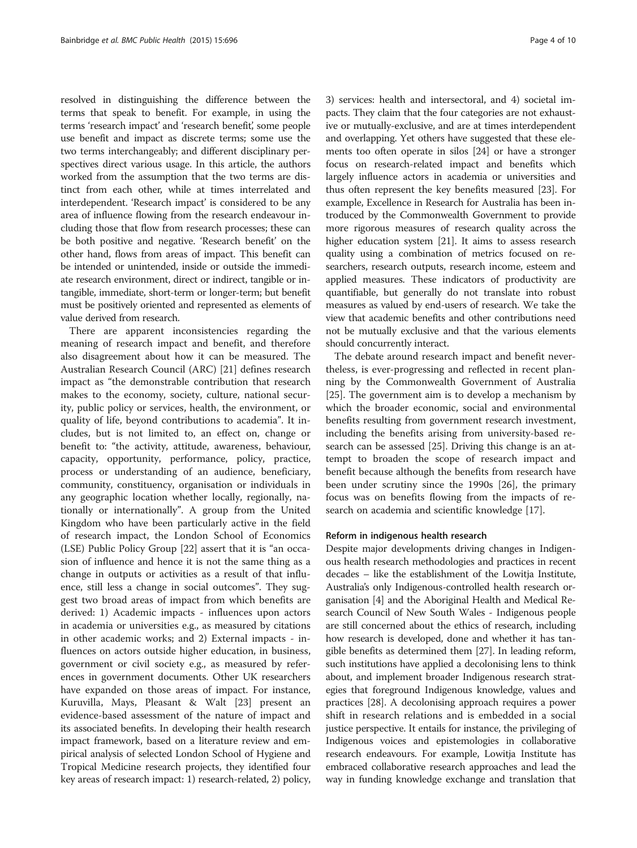resolved in distinguishing the difference between the terms that speak to benefit. For example, in using the terms 'research impact' and 'research benefit', some people use benefit and impact as discrete terms; some use the two terms interchangeably; and different disciplinary perspectives direct various usage. In this article, the authors worked from the assumption that the two terms are distinct from each other, while at times interrelated and interdependent. 'Research impact' is considered to be any area of influence flowing from the research endeavour including those that flow from research processes; these can be both positive and negative. 'Research benefit' on the other hand, flows from areas of impact. This benefit can be intended or unintended, inside or outside the immediate research environment, direct or indirect, tangible or intangible, immediate, short-term or longer-term; but benefit must be positively oriented and represented as elements of value derived from research.

There are apparent inconsistencies regarding the meaning of research impact and benefit, and therefore also disagreement about how it can be measured. The Australian Research Council (ARC) [[21\]](#page-9-0) defines research impact as "the demonstrable contribution that research makes to the economy, society, culture, national security, public policy or services, health, the environment, or quality of life, beyond contributions to academia". It includes, but is not limited to, an effect on, change or benefit to: "the activity, attitude, awareness, behaviour, capacity, opportunity, performance, policy, practice, process or understanding of an audience, beneficiary, community, constituency, organisation or individuals in any geographic location whether locally, regionally, nationally or internationally". A group from the United Kingdom who have been particularly active in the field of research impact, the London School of Economics (LSE) Public Policy Group [[22\]](#page-9-0) assert that it is "an occasion of influence and hence it is not the same thing as a change in outputs or activities as a result of that influence, still less a change in social outcomes". They suggest two broad areas of impact from which benefits are derived: 1) Academic impacts - influences upon actors in academia or universities e.g., as measured by citations in other academic works; and 2) External impacts - influences on actors outside higher education, in business, government or civil society e.g., as measured by references in government documents. Other UK researchers have expanded on those areas of impact. For instance, Kuruvilla, Mays, Pleasant & Walt [[23](#page-9-0)] present an evidence-based assessment of the nature of impact and its associated benefits. In developing their health research impact framework, based on a literature review and empirical analysis of selected London School of Hygiene and Tropical Medicine research projects, they identified four key areas of research impact: 1) research-related, 2) policy, 3) services: health and intersectoral, and 4) societal impacts. They claim that the four categories are not exhaustive or mutually-exclusive, and are at times interdependent and overlapping. Yet others have suggested that these elements too often operate in silos [\[24\]](#page-9-0) or have a stronger focus on research-related impact and benefits which largely influence actors in academia or universities and thus often represent the key benefits measured [\[23\]](#page-9-0). For example, Excellence in Research for Australia has been introduced by the Commonwealth Government to provide more rigorous measures of research quality across the higher education system [\[21](#page-9-0)]. It aims to assess research quality using a combination of metrics focused on researchers, research outputs, research income, esteem and applied measures. These indicators of productivity are quantifiable, but generally do not translate into robust measures as valued by end-users of research. We take the view that academic benefits and other contributions need not be mutually exclusive and that the various elements should concurrently interact.

The debate around research impact and benefit nevertheless, is ever-progressing and reflected in recent planning by the Commonwealth Government of Australia [[25\]](#page-9-0). The government aim is to develop a mechanism by which the broader economic, social and environmental benefits resulting from government research investment, including the benefits arising from university-based research can be assessed [[25](#page-9-0)]. Driving this change is an attempt to broaden the scope of research impact and benefit because although the benefits from research have been under scrutiny since the 1990s [\[26\]](#page-9-0), the primary focus was on benefits flowing from the impacts of research on academia and scientific knowledge [[17\]](#page-9-0).

#### Reform in indigenous health research

Despite major developments driving changes in Indigenous health research methodologies and practices in recent decades – like the establishment of the Lowitja Institute, Australia's only Indigenous-controlled health research organisation [[4](#page-8-0)] and the Aboriginal Health and Medical Research Council of New South Wales - Indigenous people are still concerned about the ethics of research, including how research is developed, done and whether it has tangible benefits as determined them [[27](#page-9-0)]. In leading reform, such institutions have applied a decolonising lens to think about, and implement broader Indigenous research strategies that foreground Indigenous knowledge, values and practices [[28](#page-9-0)]. A decolonising approach requires a power shift in research relations and is embedded in a social justice perspective. It entails for instance, the privileging of Indigenous voices and epistemologies in collaborative research endeavours. For example, Lowitja Institute has embraced collaborative research approaches and lead the way in funding knowledge exchange and translation that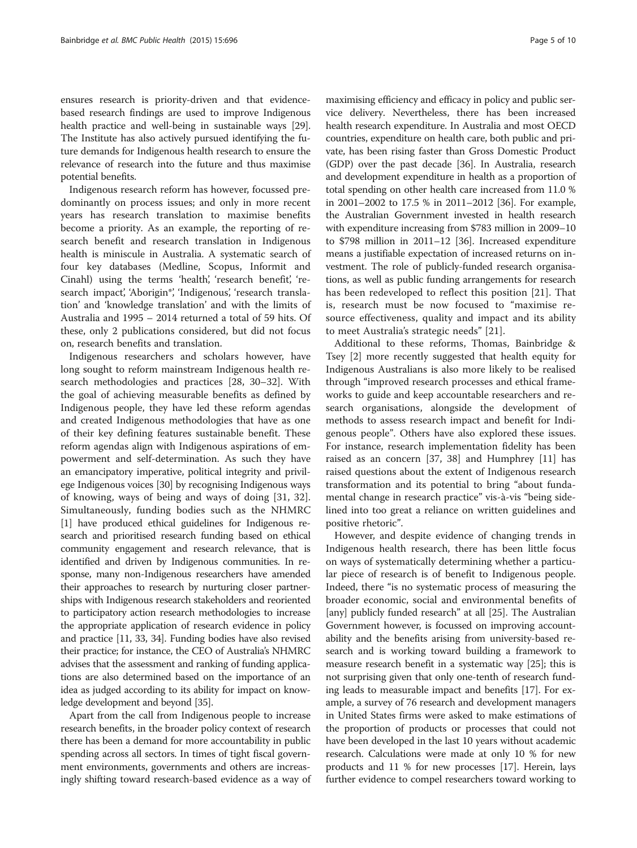ensures research is priority-driven and that evidencebased research findings are used to improve Indigenous health practice and well-being in sustainable ways [[29](#page-9-0)]. The Institute has also actively pursued identifying the future demands for Indigenous health research to ensure the relevance of research into the future and thus maximise potential benefits.

Indigenous research reform has however, focussed predominantly on process issues; and only in more recent years has research translation to maximise benefits become a priority. As an example, the reporting of research benefit and research translation in Indigenous health is miniscule in Australia. A systematic search of four key databases (Medline, Scopus, Informit and Cinahl) using the terms 'health', 'research benefit', 'research impact', 'Aborigin\*', 'Indigenous', 'research translation' and 'knowledge translation' and with the limits of Australia and 1995 – 2014 returned a total of 59 hits. Of these, only 2 publications considered, but did not focus on, research benefits and translation.

Indigenous researchers and scholars however, have long sought to reform mainstream Indigenous health research methodologies and practices [[28](#page-9-0), [30](#page-9-0)–[32](#page-9-0)]. With the goal of achieving measurable benefits as defined by Indigenous people, they have led these reform agendas and created Indigenous methodologies that have as one of their key defining features sustainable benefit. These reform agendas align with Indigenous aspirations of empowerment and self-determination. As such they have an emancipatory imperative, political integrity and privilege Indigenous voices [\[30\]](#page-9-0) by recognising Indigenous ways of knowing, ways of being and ways of doing [[31, 32](#page-9-0)]. Simultaneously, funding bodies such as the NHMRC [[1](#page-8-0)] have produced ethical guidelines for Indigenous research and prioritised research funding based on ethical community engagement and research relevance, that is identified and driven by Indigenous communities. In response, many non-Indigenous researchers have amended their approaches to research by nurturing closer partnerships with Indigenous research stakeholders and reoriented to participatory action research methodologies to increase the appropriate application of research evidence in policy and practice [[11](#page-8-0), [33, 34\]](#page-9-0). Funding bodies have also revised their practice; for instance, the CEO of Australia's NHMRC advises that the assessment and ranking of funding applications are also determined based on the importance of an idea as judged according to its ability for impact on knowledge development and beyond [\[35](#page-9-0)].

Apart from the call from Indigenous people to increase research benefits, in the broader policy context of research there has been a demand for more accountability in public spending across all sectors. In times of tight fiscal government environments, governments and others are increasingly shifting toward research-based evidence as a way of

maximising efficiency and efficacy in policy and public service delivery. Nevertheless, there has been increased health research expenditure. In Australia and most OECD countries, expenditure on health care, both public and private, has been rising faster than Gross Domestic Product (GDP) over the past decade [\[36\]](#page-9-0). In Australia, research and development expenditure in health as a proportion of total spending on other health care increased from 11.0 % in 2001–2002 to 17.5 % in 2011–2012 [[36](#page-9-0)]. For example, the Australian Government invested in health research with expenditure increasing from \$783 million in 2009–10 to \$798 million in 2011–12 [[36\]](#page-9-0). Increased expenditure means a justifiable expectation of increased returns on investment. The role of publicly-funded research organisations, as well as public funding arrangements for research has been redeveloped to reflect this position [[21](#page-9-0)]. That is, research must be now focused to "maximise resource effectiveness, quality and impact and its ability to meet Australia's strategic needs" [[21](#page-9-0)].

Additional to these reforms, Thomas, Bainbridge & Tsey [\[2](#page-8-0)] more recently suggested that health equity for Indigenous Australians is also more likely to be realised through "improved research processes and ethical frameworks to guide and keep accountable researchers and research organisations, alongside the development of methods to assess research impact and benefit for Indigenous people". Others have also explored these issues. For instance, research implementation fidelity has been raised as an concern [\[37](#page-9-0), [38\]](#page-9-0) and Humphrey [\[11](#page-8-0)] has raised questions about the extent of Indigenous research transformation and its potential to bring "about fundamental change in research practice" vis-à-vis "being sidelined into too great a reliance on written guidelines and positive rhetoric".

However, and despite evidence of changing trends in Indigenous health research, there has been little focus on ways of systematically determining whether a particular piece of research is of benefit to Indigenous people. Indeed, there "is no systematic process of measuring the broader economic, social and environmental benefits of [any] publicly funded research" at all [\[25\]](#page-9-0). The Australian Government however, is focussed on improving accountability and the benefits arising from university-based research and is working toward building a framework to measure research benefit in a systematic way [[25\]](#page-9-0); this is not surprising given that only one-tenth of research funding leads to measurable impact and benefits [[17](#page-9-0)]. For example, a survey of 76 research and development managers in United States firms were asked to make estimations of the proportion of products or processes that could not have been developed in the last 10 years without academic research. Calculations were made at only 10 % for new products and 11 % for new processes [[17](#page-9-0)]. Herein, lays further evidence to compel researchers toward working to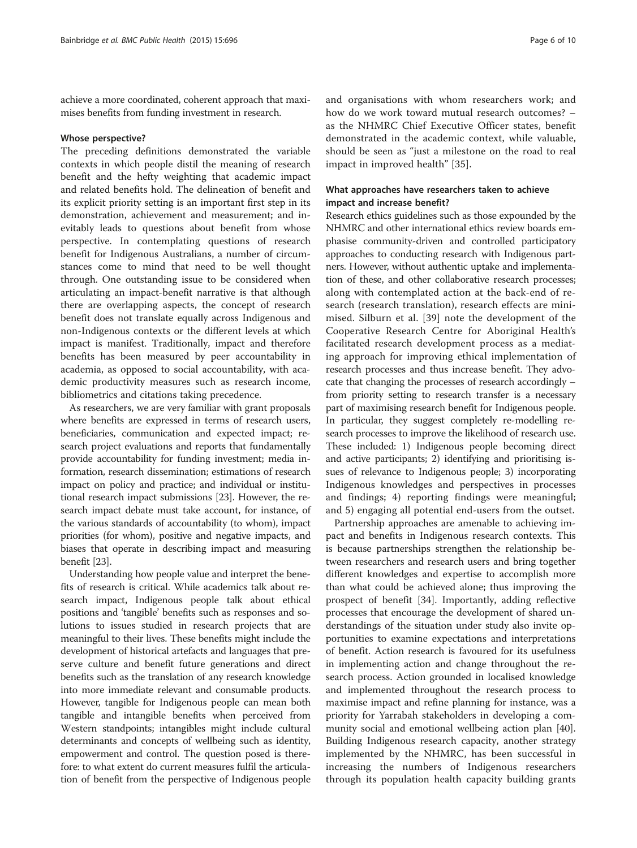achieve a more coordinated, coherent approach that maximises benefits from funding investment in research.

#### Whose perspective?

The preceding definitions demonstrated the variable contexts in which people distil the meaning of research benefit and the hefty weighting that academic impact and related benefits hold. The delineation of benefit and its explicit priority setting is an important first step in its demonstration, achievement and measurement; and inevitably leads to questions about benefit from whose perspective. In contemplating questions of research benefit for Indigenous Australians, a number of circumstances come to mind that need to be well thought through. One outstanding issue to be considered when articulating an impact-benefit narrative is that although there are overlapping aspects, the concept of research benefit does not translate equally across Indigenous and non-Indigenous contexts or the different levels at which impact is manifest. Traditionally, impact and therefore benefits has been measured by peer accountability in academia, as opposed to social accountability, with academic productivity measures such as research income, bibliometrics and citations taking precedence.

As researchers, we are very familiar with grant proposals where benefits are expressed in terms of research users, beneficiaries, communication and expected impact; research project evaluations and reports that fundamentally provide accountability for funding investment; media information, research dissemination; estimations of research impact on policy and practice; and individual or institutional research impact submissions [[23](#page-9-0)]. However, the research impact debate must take account, for instance, of the various standards of accountability (to whom), impact priorities (for whom), positive and negative impacts, and biases that operate in describing impact and measuring benefit [[23](#page-9-0)].

Understanding how people value and interpret the benefits of research is critical. While academics talk about research impact, Indigenous people talk about ethical positions and 'tangible' benefits such as responses and solutions to issues studied in research projects that are meaningful to their lives. These benefits might include the development of historical artefacts and languages that preserve culture and benefit future generations and direct benefits such as the translation of any research knowledge into more immediate relevant and consumable products. However, tangible for Indigenous people can mean both tangible and intangible benefits when perceived from Western standpoints; intangibles might include cultural determinants and concepts of wellbeing such as identity, empowerment and control. The question posed is therefore: to what extent do current measures fulfil the articulation of benefit from the perspective of Indigenous people

and organisations with whom researchers work; and how do we work toward mutual research outcomes? – as the NHMRC Chief Executive Officer states, benefit demonstrated in the academic context, while valuable, should be seen as "just a milestone on the road to real impact in improved health" [[35\]](#page-9-0).

## What approaches have researchers taken to achieve impact and increase benefit?

Research ethics guidelines such as those expounded by the NHMRC and other international ethics review boards emphasise community-driven and controlled participatory approaches to conducting research with Indigenous partners. However, without authentic uptake and implementation of these, and other collaborative research processes; along with contemplated action at the back-end of research (research translation), research effects are minimised. Silburn et al. [\[39\]](#page-9-0) note the development of the Cooperative Research Centre for Aboriginal Health's facilitated research development process as a mediating approach for improving ethical implementation of research processes and thus increase benefit. They advocate that changing the processes of research accordingly – from priority setting to research transfer is a necessary part of maximising research benefit for Indigenous people. In particular, they suggest completely re-modelling research processes to improve the likelihood of research use. These included: 1) Indigenous people becoming direct and active participants; 2) identifying and prioritising issues of relevance to Indigenous people; 3) incorporating Indigenous knowledges and perspectives in processes and findings; 4) reporting findings were meaningful; and 5) engaging all potential end-users from the outset.

Partnership approaches are amenable to achieving impact and benefits in Indigenous research contexts. This is because partnerships strengthen the relationship between researchers and research users and bring together different knowledges and expertise to accomplish more than what could be achieved alone; thus improving the prospect of benefit [[34](#page-9-0)]. Importantly, adding reflective processes that encourage the development of shared understandings of the situation under study also invite opportunities to examine expectations and interpretations of benefit. Action research is favoured for its usefulness in implementing action and change throughout the research process. Action grounded in localised knowledge and implemented throughout the research process to maximise impact and refine planning for instance, was a priority for Yarrabah stakeholders in developing a community social and emotional wellbeing action plan [\[40](#page-9-0)]. Building Indigenous research capacity, another strategy implemented by the NHMRC, has been successful in increasing the numbers of Indigenous researchers through its population health capacity building grants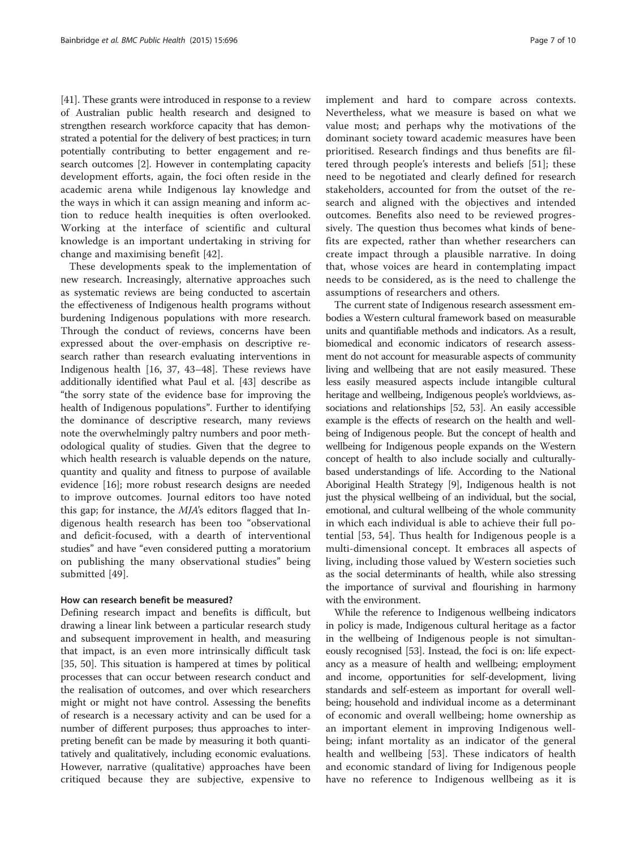[[41](#page-9-0)]. These grants were introduced in response to a review of Australian public health research and designed to strengthen research workforce capacity that has demonstrated a potential for the delivery of best practices; in turn potentially contributing to better engagement and research outcomes [[2](#page-8-0)]. However in contemplating capacity development efforts, again, the foci often reside in the academic arena while Indigenous lay knowledge and the ways in which it can assign meaning and inform action to reduce health inequities is often overlooked. Working at the interface of scientific and cultural knowledge is an important undertaking in striving for change and maximising benefit [[42](#page-9-0)].

These developments speak to the implementation of new research. Increasingly, alternative approaches such as systematic reviews are being conducted to ascertain the effectiveness of Indigenous health programs without burdening Indigenous populations with more research. Through the conduct of reviews, concerns have been expressed about the over-emphasis on descriptive research rather than research evaluating interventions in Indigenous health [\[16](#page-9-0), [37, 43](#page-9-0)–[48](#page-9-0)]. These reviews have additionally identified what Paul et al. [[43\]](#page-9-0) describe as "the sorry state of the evidence base for improving the health of Indigenous populations". Further to identifying the dominance of descriptive research, many reviews note the overwhelmingly paltry numbers and poor methodological quality of studies. Given that the degree to which health research is valuable depends on the nature, quantity and quality and fitness to purpose of available evidence [\[16\]](#page-9-0); more robust research designs are needed to improve outcomes. Journal editors too have noted this gap; for instance, the MJA's editors flagged that Indigenous health research has been too "observational and deficit-focused, with a dearth of interventional studies" and have "even considered putting a moratorium on publishing the many observational studies" being submitted [[49\]](#page-9-0).

## How can research benefit be measured?

Defining research impact and benefits is difficult, but drawing a linear link between a particular research study and subsequent improvement in health, and measuring that impact, is an even more intrinsically difficult task [[35, 50](#page-9-0)]. This situation is hampered at times by political processes that can occur between research conduct and the realisation of outcomes, and over which researchers might or might not have control. Assessing the benefits of research is a necessary activity and can be used for a number of different purposes; thus approaches to interpreting benefit can be made by measuring it both quantitatively and qualitatively, including economic evaluations. However, narrative (qualitative) approaches have been critiqued because they are subjective, expensive to implement and hard to compare across contexts. Nevertheless, what we measure is based on what we value most; and perhaps why the motivations of the dominant society toward academic measures have been prioritised. Research findings and thus benefits are filtered through people's interests and beliefs [\[51](#page-9-0)]; these need to be negotiated and clearly defined for research stakeholders, accounted for from the outset of the research and aligned with the objectives and intended outcomes. Benefits also need to be reviewed progressively. The question thus becomes what kinds of benefits are expected, rather than whether researchers can create impact through a plausible narrative. In doing that, whose voices are heard in contemplating impact needs to be considered, as is the need to challenge the assumptions of researchers and others.

The current state of Indigenous research assessment embodies a Western cultural framework based on measurable units and quantifiable methods and indicators. As a result, biomedical and economic indicators of research assessment do not account for measurable aspects of community living and wellbeing that are not easily measured. These less easily measured aspects include intangible cultural heritage and wellbeing, Indigenous people's worldviews, associations and relationships [[52](#page-9-0), [53](#page-9-0)]. An easily accessible example is the effects of research on the health and wellbeing of Indigenous people. But the concept of health and wellbeing for Indigenous people expands on the Western concept of health to also include socially and culturallybased understandings of life. According to the National Aboriginal Health Strategy [\[9\]](#page-8-0), Indigenous health is not just the physical wellbeing of an individual, but the social, emotional, and cultural wellbeing of the whole community in which each individual is able to achieve their full potential [[53](#page-9-0), [54\]](#page-9-0). Thus health for Indigenous people is a multi-dimensional concept. It embraces all aspects of living, including those valued by Western societies such as the social determinants of health, while also stressing the importance of survival and flourishing in harmony with the environment.

While the reference to Indigenous wellbeing indicators in policy is made, Indigenous cultural heritage as a factor in the wellbeing of Indigenous people is not simultaneously recognised [\[53\]](#page-9-0). Instead, the foci is on: life expectancy as a measure of health and wellbeing; employment and income, opportunities for self-development, living standards and self-esteem as important for overall wellbeing; household and individual income as a determinant of economic and overall wellbeing; home ownership as an important element in improving Indigenous wellbeing; infant mortality as an indicator of the general health and wellbeing [\[53](#page-9-0)]. These indicators of health and economic standard of living for Indigenous people have no reference to Indigenous wellbeing as it is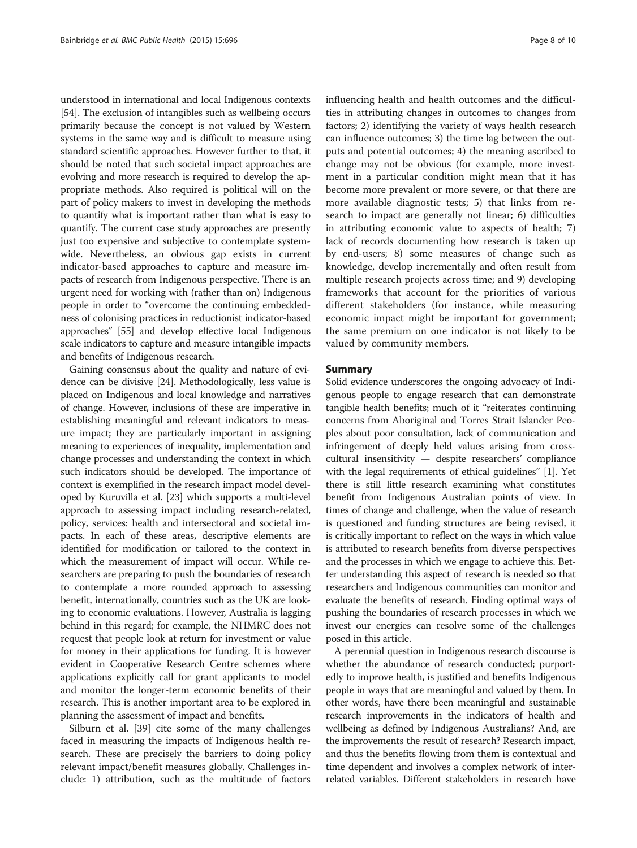understood in international and local Indigenous contexts [[54](#page-9-0)]. The exclusion of intangibles such as wellbeing occurs primarily because the concept is not valued by Western systems in the same way and is difficult to measure using standard scientific approaches. However further to that, it should be noted that such societal impact approaches are evolving and more research is required to develop the appropriate methods. Also required is political will on the part of policy makers to invest in developing the methods to quantify what is important rather than what is easy to quantify. The current case study approaches are presently just too expensive and subjective to contemplate systemwide. Nevertheless, an obvious gap exists in current indicator-based approaches to capture and measure impacts of research from Indigenous perspective. There is an urgent need for working with (rather than on) Indigenous people in order to "overcome the continuing embeddedness of colonising practices in reductionist indicator-based approaches" [\[55\]](#page-9-0) and develop effective local Indigenous scale indicators to capture and measure intangible impacts and benefits of Indigenous research.

Gaining consensus about the quality and nature of evidence can be divisive [[24](#page-9-0)]. Methodologically, less value is placed on Indigenous and local knowledge and narratives of change. However, inclusions of these are imperative in establishing meaningful and relevant indicators to measure impact; they are particularly important in assigning meaning to experiences of inequality, implementation and change processes and understanding the context in which such indicators should be developed. The importance of context is exemplified in the research impact model developed by Kuruvilla et al. [\[23](#page-9-0)] which supports a multi-level approach to assessing impact including research-related, policy, services: health and intersectoral and societal impacts. In each of these areas, descriptive elements are identified for modification or tailored to the context in which the measurement of impact will occur. While researchers are preparing to push the boundaries of research to contemplate a more rounded approach to assessing benefit, internationally, countries such as the UK are looking to economic evaluations. However, Australia is lagging behind in this regard; for example, the NHMRC does not request that people look at return for investment or value for money in their applications for funding. It is however evident in Cooperative Research Centre schemes where applications explicitly call for grant applicants to model and monitor the longer-term economic benefits of their research. This is another important area to be explored in planning the assessment of impact and benefits.

Silburn et al. [\[39](#page-9-0)] cite some of the many challenges faced in measuring the impacts of Indigenous health research. These are precisely the barriers to doing policy relevant impact/benefit measures globally. Challenges include: 1) attribution, such as the multitude of factors influencing health and health outcomes and the difficulties in attributing changes in outcomes to changes from factors; 2) identifying the variety of ways health research can influence outcomes; 3) the time lag between the outputs and potential outcomes; 4) the meaning ascribed to change may not be obvious (for example, more investment in a particular condition might mean that it has become more prevalent or more severe, or that there are more available diagnostic tests; 5) that links from research to impact are generally not linear; 6) difficulties in attributing economic value to aspects of health; 7) lack of records documenting how research is taken up by end-users; 8) some measures of change such as knowledge, develop incrementally and often result from multiple research projects across time; and 9) developing frameworks that account for the priorities of various different stakeholders (for instance, while measuring economic impact might be important for government; the same premium on one indicator is not likely to be valued by community members.

#### Summary

Solid evidence underscores the ongoing advocacy of Indigenous people to engage research that can demonstrate tangible health benefits; much of it "reiterates continuing concerns from Aboriginal and Torres Strait Islander Peoples about poor consultation, lack of communication and infringement of deeply held values arising from crosscultural insensitivity — despite researchers' compliance with the legal requirements of ethical guidelines" [[1](#page-8-0)]. Yet there is still little research examining what constitutes benefit from Indigenous Australian points of view. In times of change and challenge, when the value of research is questioned and funding structures are being revised, it is critically important to reflect on the ways in which value is attributed to research benefits from diverse perspectives and the processes in which we engage to achieve this. Better understanding this aspect of research is needed so that researchers and Indigenous communities can monitor and evaluate the benefits of research. Finding optimal ways of pushing the boundaries of research processes in which we invest our energies can resolve some of the challenges posed in this article.

A perennial question in Indigenous research discourse is whether the abundance of research conducted; purportedly to improve health, is justified and benefits Indigenous people in ways that are meaningful and valued by them. In other words, have there been meaningful and sustainable research improvements in the indicators of health and wellbeing as defined by Indigenous Australians? And, are the improvements the result of research? Research impact, and thus the benefits flowing from them is contextual and time dependent and involves a complex network of interrelated variables. Different stakeholders in research have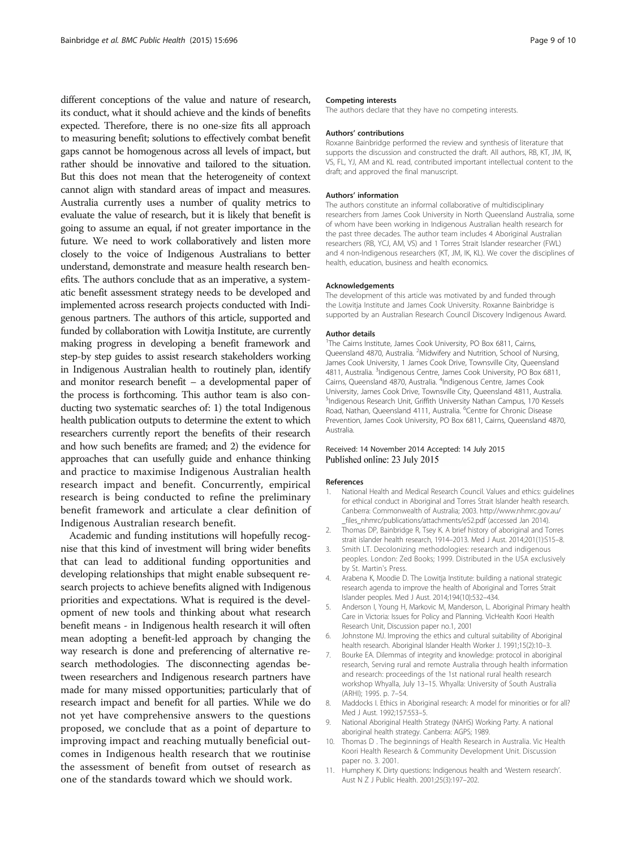<span id="page-8-0"></span>different conceptions of the value and nature of research, its conduct, what it should achieve and the kinds of benefits expected. Therefore, there is no one-size fits all approach to measuring benefit; solutions to effectively combat benefit gaps cannot be homogenous across all levels of impact, but rather should be innovative and tailored to the situation. But this does not mean that the heterogeneity of context cannot align with standard areas of impact and measures. Australia currently uses a number of quality metrics to evaluate the value of research, but it is likely that benefit is going to assume an equal, if not greater importance in the future. We need to work collaboratively and listen more closely to the voice of Indigenous Australians to better understand, demonstrate and measure health research benefits. The authors conclude that as an imperative, a systematic benefit assessment strategy needs to be developed and implemented across research projects conducted with Indigenous partners. The authors of this article, supported and funded by collaboration with Lowitja Institute, are currently making progress in developing a benefit framework and step-by step guides to assist research stakeholders working in Indigenous Australian health to routinely plan, identify and monitor research benefit – a developmental paper of the process is forthcoming. This author team is also conducting two systematic searches of: 1) the total Indigenous health publication outputs to determine the extent to which researchers currently report the benefits of their research and how such benefits are framed; and 2) the evidence for approaches that can usefully guide and enhance thinking and practice to maximise Indigenous Australian health research impact and benefit. Concurrently, empirical research is being conducted to refine the preliminary benefit framework and articulate a clear definition of Indigenous Australian research benefit.

Academic and funding institutions will hopefully recognise that this kind of investment will bring wider benefits that can lead to additional funding opportunities and developing relationships that might enable subsequent research projects to achieve benefits aligned with Indigenous priorities and expectations. What is required is the development of new tools and thinking about what research benefit means - in Indigenous health research it will often mean adopting a benefit-led approach by changing the way research is done and preferencing of alternative research methodologies. The disconnecting agendas between researchers and Indigenous research partners have made for many missed opportunities; particularly that of research impact and benefit for all parties. While we do not yet have comprehensive answers to the questions proposed, we conclude that as a point of departure to improving impact and reaching mutually beneficial outcomes in Indigenous health research that we routinise the assessment of benefit from outset of research as one of the standards toward which we should work.

#### Competing interests

The authors declare that they have no competing interests.

#### Authors' contributions

Roxanne Bainbridge performed the review and synthesis of literature that supports the discussion and constructed the draft. All authors, RB, KT, JM, IK, VS, FL, YJ, AM and KL read, contributed important intellectual content to the draft; and approved the final manuscript.

#### Authors' information

The authors constitute an informal collaborative of multidisciplinary researchers from James Cook University in North Queensland Australia, some of whom have been working in Indigenous Australian health research for the past three decades. The author team includes 4 Aboriginal Australian researchers (RB, YCJ, AM, VS) and 1 Torres Strait Islander researcher (FWL) and 4 non-Indigenous researchers (KT, JM, IK, KL). We cover the disciplines of health, education, business and health economics.

#### Acknowledgements

The development of this article was motivated by and funded through the Lowitja Institute and James Cook University. Roxanne Bainbridge is supported by an Australian Research Council Discovery Indigenous Award.

#### Author details

<sup>1</sup>The Cairns Institute, James Cook University, PO Box 6811, Cairns Queensland 4870, Australia. <sup>2</sup>Midwifery and Nutrition, School of Nursing, James Cook University, 1 James Cook Drive, Townsville City, Queensland 4811, Australia. <sup>3</sup>Indigenous Centre, James Cook University, PO Box 6811, Cairns, Queensland 4870, Australia. <sup>4</sup>Indigenous Centre, James Cook University, James Cook Drive, Townsville City, Queensland 4811, Australia. 5 Indigenous Research Unit, Griffith University Nathan Campus, 170 Kessels Road, Nathan, Queensland 4111, Australia. <sup>6</sup>Centre for Chronic Disease Prevention, James Cook University, PO Box 6811, Cairns, Queensland 4870, Australia.

#### Received: 14 November 2014 Accepted: 14 July 2015 Published online: 23 July 2015

#### References

- 1. National Health and Medical Research Council. Values and ethics: guidelines for ethical conduct in Aboriginal and Torres Strait Islander health research. Canberra: Commonwealth of Australia; 2003. [http://www.nhmrc.gov.au/](http://www.nhmrc.gov.au/_files_nhmrc/publications/attachments/e52.pdf) files\_nhmrc/publications/attachments/e52.pdf (accessed Jan 2014).
- 2. Thomas DP, Bainbridge R, Tsey K. A brief history of aboriginal and Torres strait islander health research, 1914–2013. Med J Aust. 2014;201(1):S15–8.
- 3. Smith LT. Decolonizing methodologies: research and indigenous peoples. London: Zed Books; 1999. Distributed in the USA exclusively by St. Martin's Press.
- 4. Arabena K, Moodie D. The Lowitja Institute: building a national strategic research agenda to improve the health of Aboriginal and Torres Strait Islander peoples. Med J Aust. 2014;194(10):532–434.
- 5. Anderson I, Young H, Markovic M, Manderson, L. Aboriginal Primary health Care in Victoria: Issues for Policy and Planning. VicHealth Koori Health Research Unit, Discussion paper no.1, 2001
- 6. Johnstone MJ. Improving the ethics and cultural suitability of Aboriginal health research. Aboriginal Islander Health Worker J. 1991;15(2):10–3.
- 7. Bourke EA. Dilemmas of integrity and knowledge: protocol in aborigina research, Serving rural and remote Australia through health information and research: proceedings of the 1st national rural health research workshop Whyalla, July 13–15. Whyalla: University of South Australia (ARHI); 1995. p. 7–54.
- 8. Maddocks I. Ethics in Aboriginal research: A model for minorities or for all? Med J Aust. 1992;157:553–5.
- 9. National Aboriginal Health Strategy (NAHS) Working Party. A national aboriginal health strategy. Canberra: AGPS; 1989.
- 10. Thomas D . The beginnings of Health Research in Australia. Vic Health Koori Health Research & Community Development Unit. Discussion paper no. 3. 2001.
- 11. Humphery K. Dirty questions: Indigenous health and 'Western research'. Aust N Z J Public Health. 2001;25(3):197–202.